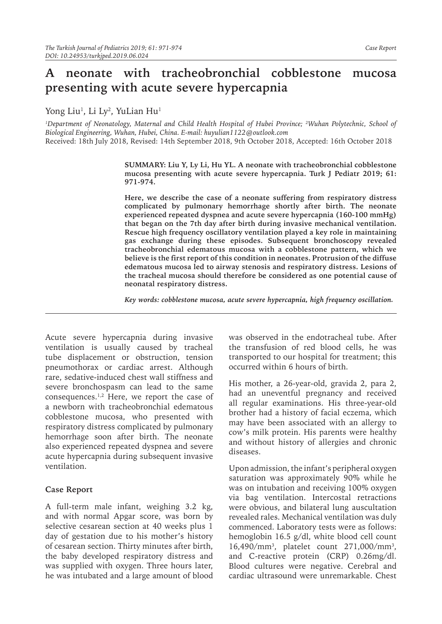# **A neonate with tracheobronchial cobblestone mucosa presenting with acute severe hypercapnia**

Yong Liu<sup>1</sup>, Li Ly<sup>2</sup>, YuLian Hu<sup>1</sup>

*1 Department of Neonatology, Maternal and Child Health Hospital of Hubei Province; <sup>2</sup> Wuhan Polytechnic, School of Biological Engineering, Wuhan, Hubei, China. E-mail: huyulian1122@outlook.com* Received: 18th July 2018, Revised: 14th September 2018, 9th October 2018, Accepted: 16th October 2018

> **SUMMARY: Liu Y, Ly Li, Hu YL. A neonate with tracheobronchial cobblestone mucosa presenting with acute severe hypercapnia. Turk J Pediatr 2019; 61: 971-974.**

> **Here, we describe the case of a neonate suffering from respiratory distress complicated by pulmonary hemorrhage shortly after birth. The neonate experienced repeated dyspnea and acute severe hypercapnia (160-100 mmHg) that began on the 7th day after birth during invasive mechanical ventilation. Rescue high frequency oscillatory ventilation played a key role in maintaining gas exchange during these episodes. Subsequent bronchoscopy revealed tracheobronchial edematous mucosa with a cobblestone pattern, which we believe is the first report of this condition in neonates. Protrusion of the diffuse edematous mucosa led to airway stenosis and respiratory distress. Lesions of the tracheal mucosa should therefore be considered as one potential cause of neonatal respiratory distress.**

*Key words: cobblestone mucosa, acute severe hypercapnia, high frequency oscillation.*

Acute severe hypercapnia during invasive ventilation is usually caused by tracheal tube displacement or obstruction, tension pneumothorax or cardiac arrest. Although rare, sedative-induced chest wall stiffness and severe bronchospasm can lead to the same consequences.<sup>1,2</sup> Here, we report the case of a newborn with tracheobronchial edematous cobblestone mucosa, who presented with respiratory distress complicated by pulmonary hemorrhage soon after birth. The neonate also experienced repeated dyspnea and severe acute hypercapnia during subsequent invasive ventilation.

### **Case Report**

A full-term male infant, weighing 3.2 kg, and with normal Apgar score, was born by selective cesarean section at 40 weeks plus 1 day of gestation due to his mother's history of cesarean section. Thirty minutes after birth, the baby developed respiratory distress and was supplied with oxygen. Three hours later, he was intubated and a large amount of blood

was observed in the endotracheal tube. After the transfusion of red blood cells, he was transported to our hospital for treatment; this occurred within 6 hours of birth.

His mother, a 26-year-old, gravida 2, para 2, had an uneventful pregnancy and received all regular examinations. His three-year-old brother had a history of facial eczema, which may have been associated with an allergy to cow's milk protein. His parents were healthy and without history of allergies and chronic diseases.

Upon admission, the infant's peripheral oxygen saturation was approximately 90% while he was on intubation and receiving 100% oxygen via bag ventilation. Intercostal retractions were obvious, and bilateral lung auscultation revealed rales. Mechanical ventilation was duly commenced. Laboratory tests were as follows: hemoglobin 16.5 g/dl, white blood cell count 16,490/mm3 , platelet count 271,000/mm3 , and C-reactive protein (CRP) 0.26mg/dl. Blood cultures were negative. Cerebral and cardiac ultrasound were unremarkable. Chest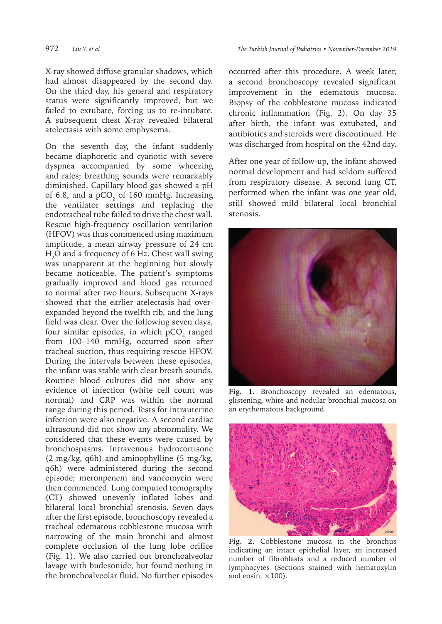X-ray showed diffuse granular shadows, which had almost disappeared by the second day. On the third day, his general and respiratory status were significantly improved, but we failed to extubate, forcing us to re-intubate. A subsequent chest X-ray revealed bilateral

atelectasis with some emphysema.

On the seventh day, the infant suddenly became diaphoretic and cyanotic with severe dyspnea accompanied by some wheezing and rales; breathing sounds were remarkably diminished. Capillary blood gas showed a pH of 6.8, and a pCO $_2$  of 160 mmHg. Increasing the ventilator settings and replacing the endotracheal tube failed to drive the chest wall. Rescue high-frequency oscillation ventilation (HFOV) was thus commenced using maximum amplitude, a mean airway pressure of 24 cm  $\rm H_2$ O and a frequency of 6 Hz. Chest wall swing was unapparent at the beginning but slowly became noticeable. The patient's symptoms gradually improved and blood gas returned to normal after two hours. Subsequent X-rays showed that the earlier atelectasis had overexpanded beyond the twelfth rib, and the lung field was clear. Over the following seven days, four similar episodes, in which pCO $_{\textrm{\tiny{2}}}$  ranged from 100–140 mmHg, occurred soon after tracheal suction, thus requiring rescue HFOV. During the intervals between these episodes, the infant was stable with clear breath sounds. Routine blood cultures did not show any evidence of infection (white cell count was normal) and CRP was within the normal range during this period. Tests for intrauterine infection were also negative. A second cardiac ultrasound did not show any abnormality. We considered that these events were caused by bronchospasms. Intravenous hydrocortisone (2 mg/kg, q6h) and aminophylline (5 mg/kg, q6h) were administered during the second episode; meronpenem and vancomycin were then commenced. Lung computed tomography (CT) showed unevenly inflated lobes and bilateral local bronchial stenosis. Seven days after the first episode, bronchoscopy revealed a tracheal edematous cobblestone mucosa with narrowing of the main bronchi and almost complete occlusion of the lung lobe orifice (Fig. 1). We also carried out bronchoalveolar lavage with budesonide, but found nothing in the bronchoalveolar fluid. No further episodes

occurred after this procedure. A week later, a second bronchoscopy revealed significant improvement in the edematous mucosa. Biopsy of the cobblestone mucosa indicated chronic inflammation (Fig. 2). On day 35 after birth, the infant was extubated, and antibiotics and steroids were discontinued. He was discharged from hospital on the 42nd day.

After one year of follow-up, the infant showed normal development and had seldom suffered from respiratory disease. A second lung CT, performed when the infant was one year old, still showed mild bilateral local bronchial stenosis.



**Fig. 1.** Bronchoscopy revealed an edematous, glistening, white and nodular bronchial mucosa on an erythematous background.



**Fig. 2.** Cobblestone mucosa in the bronchus indicating an intact epithelial layer, an increased number of fibroblasts and a reduced number of lymphocytes (Sections stained with hematoxylin and eosin,  $\times$ 100).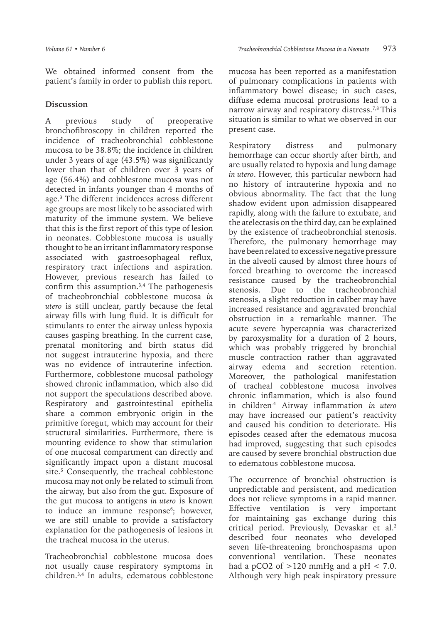We obtained informed consent from the patient's family in order to publish this report.

### **Discussion**

A previous study of preoperative bronchofibroscopy in children reported the incidence of tracheobronchial cobblestone mucosa to be 38.8%; the incidence in children under 3 years of age (43.5%) was significantly lower than that of children over 3 years of age (56.4%) and cobblestone mucosa was not detected in infants younger than 4 months of age.3 The different incidences across different age groups are most likely to be associated with maturity of the immune system. We believe that this is the first report of this type of lesion in neonates. Cobblestone mucosa is usually thought to be an irritant inflammatory response associated with gastroesophageal reflux, respiratory tract infections and aspiration. However, previous research has failed to confirm this assumption.<sup>3,4</sup> The pathogenesis of tracheobronchial cobblestone mucosa *in utero* is still unclear, partly because the fetal airway fills with lung fluid. It is difficult for stimulants to enter the airway unless hypoxia causes gasping breathing. In the current case, prenatal monitoring and birth status did not suggest intrauterine hypoxia, and there was no evidence of intrauterine infection. Furthermore, cobblestone mucosal pathology showed chronic inflammation, which also did not support the speculations described above. Respiratory and gastrointestinal epithelia share a common embryonic origin in the primitive foregut, which may account for their structural similarities. Furthermore, there is mounting evidence to show that stimulation of one mucosal compartment can directly and significantly impact upon a distant mucosal site.<sup>5</sup> Consequently, the tracheal cobblestone mucosa may not only be related to stimuli from the airway, but also from the gut. Exposure of the gut mucosa to antigens *in utero* is known to induce an immune response<sup>6</sup>; however, we are still unable to provide a satisfactory explanation for the pathogenesis of lesions in the tracheal mucosa in the uterus.

Tracheobronchial cobblestone mucosa does not usually cause respiratory symptoms in children.3,4 In adults, edematous cobblestone

mucosa has been reported as a manifestation of pulmonary complications in patients with inflammatory bowel disease; in such cases, diffuse edema mucosal protrusions lead to a narrow airway and respiratory distress.7,8 This situation is similar to what we observed in our present case.

Respiratory distress and pulmonary hemorrhage can occur shortly after birth, and are usually related to hypoxia and lung damage *in utero*. However, this particular newborn had no history of intrauterine hypoxia and no obvious abnormality. The fact that the lung shadow evident upon admission disappeared rapidly, along with the failure to extubate, and the atelectasis on the third day, can be explained by the existence of tracheobronchial stenosis. Therefore, the pulmonary hemorrhage may have been related to excessive negative pressure in the alveoli caused by almost three hours of forced breathing to overcome the increased resistance caused by the tracheobronchial stenosis. Due to the tracheobronchial stenosis, a slight reduction in caliber may have increased resistance and aggravated bronchial obstruction in a remarkable manner. The acute severe hypercapnia was characterized by paroxysmality for a duration of 2 hours, which was probably triggered by bronchial muscle contraction rather than aggravated airway edema and secretion retention. Moreover, the pathological manifestation of tracheal cobblestone mucosa involves chronic inflammation, which is also found in children.4 Airway inflammation *in utero* may have increased our patient's reactivity and caused his condition to deteriorate. His episodes ceased after the edematous mucosa had improved, suggesting that such episodes are caused by severe bronchial obstruction due to edematous cobblestone mucosa.

The occurrence of bronchial obstruction is unpredictable and persistent, and medication does not relieve symptoms in a rapid manner. Effective ventilation is very important for maintaining gas exchange during this critical period. Previously, Devaskar et al.2 described four neonates who developed seven life-threatening bronchospasms upon conventional ventilation. These neonates had a pCO2 of  $>120$  mmHg and a pH  $< 7.0$ . Although very high peak inspiratory pressure